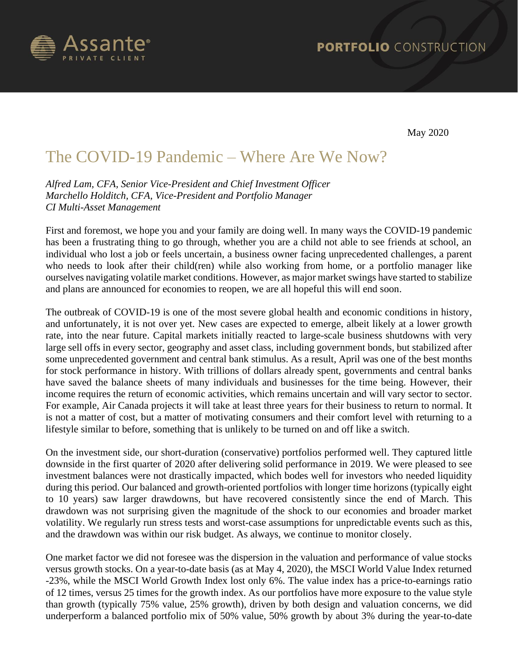

May 2020

## The COVID-19 Pandemic – Where Are We Now?

*Alfred Lam, CFA, Senior Vice-President and Chief Investment Officer Marchello Holditch, CFA, Vice-President and Portfolio Manager CI Multi-Asset Management*

First and foremost, we hope you and your family are doing well. In many ways the COVID-19 pandemic has been a frustrating thing to go through, whether you are a child not able to see friends at school, an individual who lost a job or feels uncertain, a business owner facing unprecedented challenges, a parent who needs to look after their child(ren) while also working from home, or a portfolio manager like ourselves navigating volatile market conditions. However, as major market swings have started to stabilize and plans are announced for economies to reopen, we are all hopeful this will end soon.

The outbreak of COVID-19 is one of the most severe global health and economic conditions in history, and unfortunately, it is not over yet. New cases are expected to emerge, albeit likely at a lower growth rate, into the near future. Capital markets initially reacted to large-scale business shutdowns with very large sell offs in every sector, geography and asset class, including government bonds, but stabilized after some unprecedented government and central bank stimulus. As a result, April was one of the best months for stock performance in history. With trillions of dollars already spent, governments and central banks have saved the balance sheets of many individuals and businesses for the time being. However, their income requires the return of economic activities, which remains uncertain and will vary sector to sector. For example, Air Canada projects it will take at least three years for their business to return to normal. It is not a matter of cost, but a matter of motivating consumers and their comfort level with returning to a lifestyle similar to before, something that is unlikely to be turned on and off like a switch.

On the investment side, our short-duration (conservative) portfolios performed well. They captured little downside in the first quarter of 2020 after delivering solid performance in 2019. We were pleased to see investment balances were not drastically impacted, which bodes well for investors who needed liquidity during this period. Our balanced and growth-oriented portfolios with longer time horizons (typically eight to 10 years) saw larger drawdowns, but have recovered consistently since the end of March. This drawdown was not surprising given the magnitude of the shock to our economies and broader market volatility. We regularly run stress tests and worst-case assumptions for unpredictable events such as this, and the drawdown was within our risk budget. As always, we continue to monitor closely.

One market factor we did not foresee was the dispersion in the valuation and performance of value stocks versus growth stocks. On a year-to-date basis (as at May 4, 2020), the MSCI World Value Index returned -23%, while the MSCI World Growth Index lost only 6%. The value index has a price-to-earnings ratio of 12 times, versus 25 times for the growth index. As our portfolios have more exposure to the value style than growth (typically 75% value, 25% growth), driven by both design and valuation concerns, we did underperform a balanced portfolio mix of 50% value, 50% growth by about 3% during the year-to-date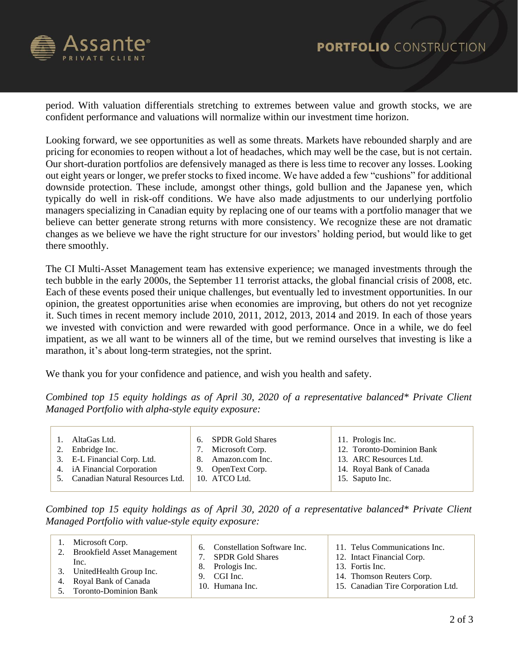

period. With valuation differentials stretching to extremes between value and growth stocks, we are confident performance and valuations will normalize within our investment time horizon.

Looking forward, we see opportunities as well as some threats. Markets have rebounded sharply and are pricing for economies to reopen without a lot of headaches, which may well be the case, but is not certain. Our short-duration portfolios are defensively managed as there is less time to recover any losses. Looking out eight years or longer, we prefer stocks to fixed income. We have added a few "cushions" for additional downside protection. These include, amongst other things, gold bullion and the Japanese yen, which typically do well in risk-off conditions. We have also made adjustments to our underlying portfolio managers specializing in Canadian equity by replacing one of our teams with a portfolio manager that we believe can better generate strong returns with more consistency. We recognize these are not dramatic changes as we believe we have the right structure for our investors' holding period, but would like to get there smoothly.

The CI Multi-Asset Management team has extensive experience; we managed investments through the tech bubble in the early 2000s, the September 11 terrorist attacks, the global financial crisis of 2008, etc. Each of these events posed their unique challenges, but eventually led to investment opportunities. In our opinion, the greatest opportunities arise when economies are improving, but others do not yet recognize it. Such times in recent memory include 2010, 2011, 2012, 2013, 2014 and 2019. In each of those years we invested with conviction and were rewarded with good performance. Once in a while, we do feel impatient, as we all want to be winners all of the time, but we remind ourselves that investing is like a marathon, it's about long-term strategies, not the sprint.

We thank you for your confidence and patience, and wish you health and safety.

*Combined top 15 equity holdings as of April 30, 2020 of a representative balanced\* Private Client Managed Portfolio with alpha-style equity exposure:*

| <b>SPDR Gold Shares</b><br>11. Prologis Inc.<br>AltaGas Ltd.<br>6.<br>12. Toronto-Dominion Bank<br>Microsoft Corp.<br>2. Enbridge Inc.<br>3. E-L Financial Corp. Ltd.<br>Amazon.com Inc.<br>13. ARC Resources Ltd.<br>8.<br>14. Royal Bank of Canada<br>4. iA Financial Corporation<br>9. OpenText Corp.<br>5. Canadian Natural Resources Ltd.<br>10. ATCO Ltd.<br>15. Saputo Inc. |
|------------------------------------------------------------------------------------------------------------------------------------------------------------------------------------------------------------------------------------------------------------------------------------------------------------------------------------------------------------------------------------|
|------------------------------------------------------------------------------------------------------------------------------------------------------------------------------------------------------------------------------------------------------------------------------------------------------------------------------------------------------------------------------------|

*Combined top 15 equity holdings as of April 30, 2020 of a representative balanced\* Private Client Managed Portfolio with value-style equity exposure:*

| 1. Microsoft Corp.<br>2. Brookfield Asset Management<br>Inc.                      | 8.<br>9. | 6. Constellation Software Inc.<br><b>SPDR Gold Shares</b><br>Prologis Inc.<br>CGI Inc.<br>10. Humana Inc. | 11. Telus Communications Inc.<br>12. Intact Financial Corp.                        |
|-----------------------------------------------------------------------------------|----------|-----------------------------------------------------------------------------------------------------------|------------------------------------------------------------------------------------|
| 3. UnitedHealth Group Inc.<br>4. Royal Bank of Canada<br>5. Toronto-Dominion Bank |          |                                                                                                           | 13. Fortis Inc.<br>14. Thomson Reuters Corp.<br>15. Canadian Tire Corporation Ltd. |